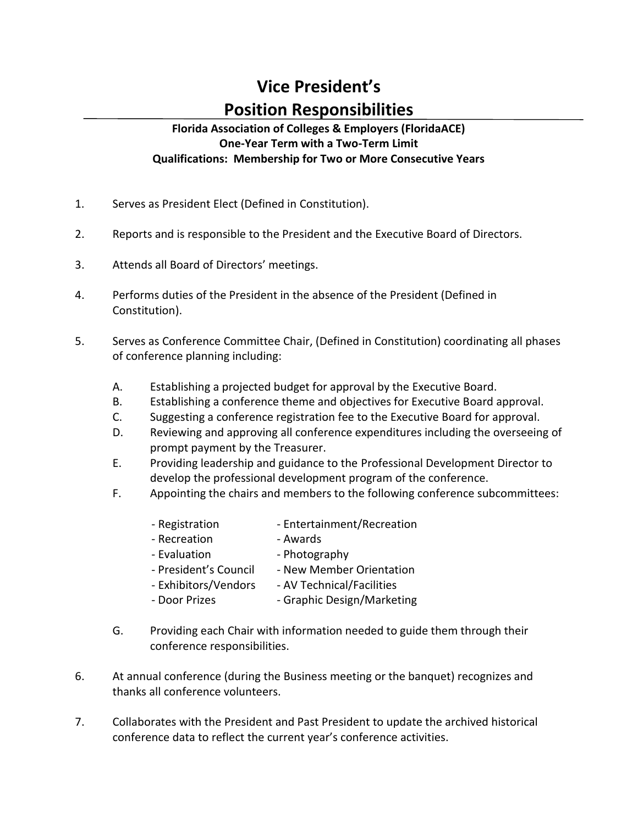## **Vice President's Position Responsibilities**

## **Florida Association of Colleges & Employers (FloridaACE) One-Year Term with a Two-Term Limit Qualifications: Membership for Two or More Consecutive Years**

- 1. Serves as President Elect (Defined in Constitution).
- 2. Reports and is responsible to the President and the Executive Board of Directors.
- 3. Attends all Board of Directors' meetings.
- 4. Performs duties of the President in the absence of the President (Defined in Constitution).
- 5. Serves as Conference Committee Chair, (Defined in Constitution) coordinating all phases of conference planning including:
	- A. Establishing a projected budget for approval by the Executive Board.
	- B. Establishing a conference theme and objectives for Executive Board approval.
	- C. Suggesting a conference registration fee to the Executive Board for approval.
	- D. Reviewing and approving all conference expenditures including the overseeing of prompt payment by the Treasurer.
	- E. Providing leadership and guidance to the Professional Development Director to develop the professional development program of the conference.
	- F. Appointing the chairs and members to the following conference subcommittees:
		- Registration Entertainment/Recreation
		- Recreation  **Awards**
		- Evaluation  **Photography**
		- President's Council New Member Orientation
		- Exhibitors/Vendors AV Technical/Facilities
		- Door Prizes Graphic Design/Marketing
	- G. Providing each Chair with information needed to guide them through their conference responsibilities.
- 6. At annual conference (during the Business meeting or the banquet) recognizes and thanks all conference volunteers.
- 7. Collaborates with the President and Past President to update the archived historical conference data to reflect the current year's conference activities.